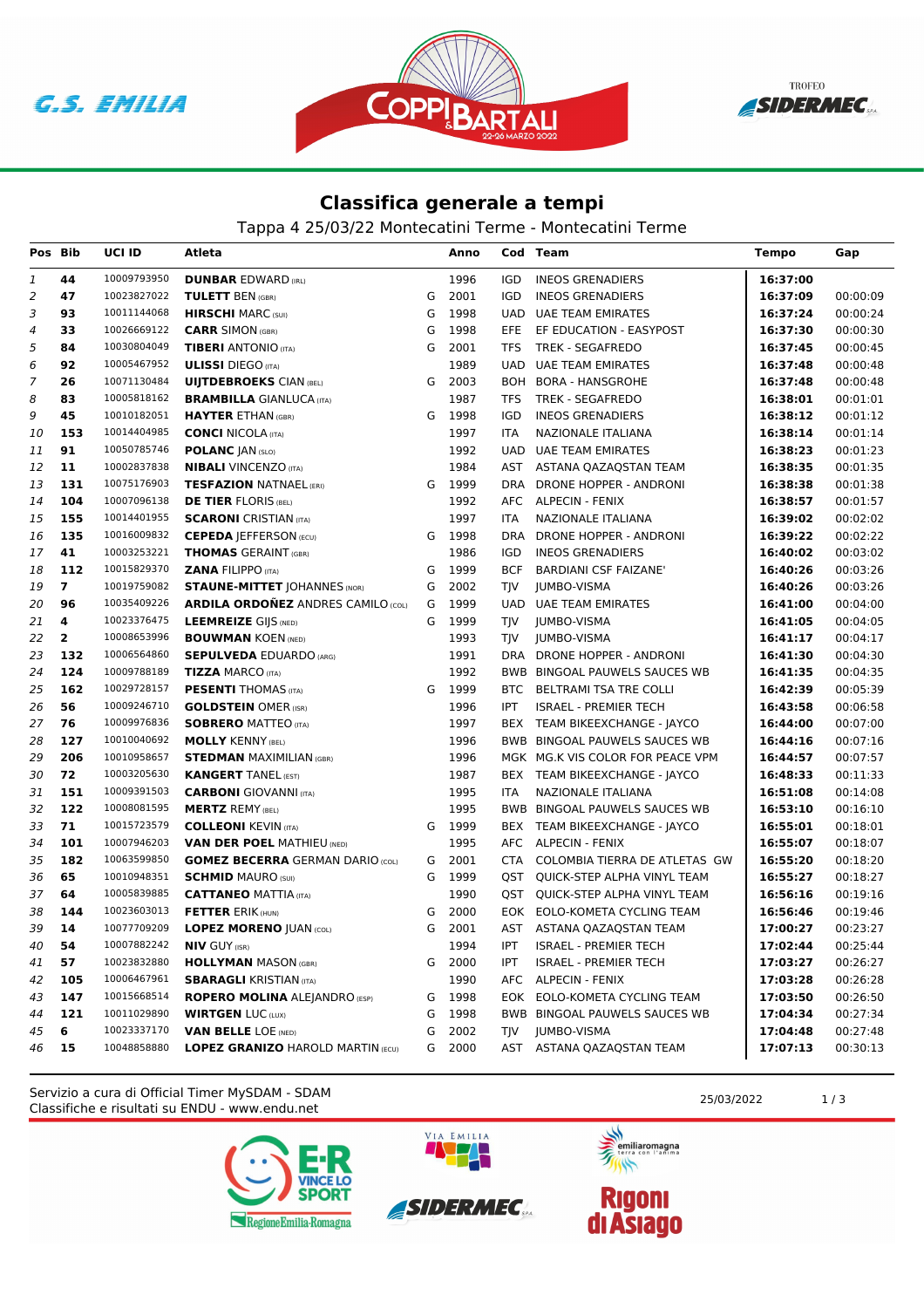**G.S. EMILIA** 



**TROFEO** SIDERMEC

## **Classifica generale a tempi**

Tappa 4 25/03/22 Montecatini Terme - Montecatini Terme

| Pos Bib        |                | <b>UCI ID</b> | Atleta                                    |   | Anno   |            | Cod Team                         | <b>Tempo</b> | Gap      |
|----------------|----------------|---------------|-------------------------------------------|---|--------|------------|----------------------------------|--------------|----------|
| 1              | 44             | 10009793950   | <b>DUNBAR EDWARD (IRL)</b>                |   | 1996   | <b>IGD</b> | <b>INEOS GRENADIERS</b>          | 16:37:00     |          |
| $\overline{2}$ | 47             | 10023827022   | <b>TULETT BEN (GBR)</b>                   | G | 2001   | IGD        | <b>INEOS GRENADIERS</b>          | 16:37:09     | 00:00:09 |
| 3              | 93             | 10011144068   | <b>HIRSCHI MARC (SUI)</b>                 | G | 1998   | <b>UAD</b> | <b>UAE TEAM EMIRATES</b>         | 16:37:24     | 00:00:24 |
| 4              | 33             | 10026669122   | <b>CARR SIMON (GBR)</b>                   | G | 1998   | <b>EFE</b> | EF EDUCATION - EASYPOST          | 16:37:30     | 00:00:30 |
| 5              | 84             | 10030804049   | <b>TIBERI</b> ANTONIO (ITA)               | G | 2001   | <b>TFS</b> | TREK - SEGAFREDO                 | 16:37:45     | 00:00:45 |
| 6              | 92             | 10005467952   | <b>ULISSI</b> DIEGO (ITA)                 |   | 1989   | <b>UAD</b> | <b>UAE TEAM EMIRATES</b>         | 16:37:48     | 00:00:48 |
| 7              | 26             | 10071130484   | <b>UIJTDEBROEKS CIAN (BEL)</b>            | G | 2003   | <b>BOH</b> | <b>BORA - HANSGROHE</b>          | 16:37:48     | 00:00:48 |
| 8              | 83             | 10005818162   | <b>BRAMBILLA GIANLUCA (ITA)</b>           |   | 1987   | <b>TFS</b> | TREK - SEGAFREDO                 | 16:38:01     | 00:01:01 |
| 9              | 45             | 10010182051   | <b>HAYTER ETHAN (GBR)</b>                 | G | 1998   | <b>IGD</b> | <b>INEOS GRENADIERS</b>          | 16:38:12     | 00:01:12 |
| 10             | 153            | 10014404985   | <b>CONCI NICOLA (ITA)</b>                 |   | 1997   | ITA        | NAZIONALE ITALIANA               | 16:38:14     | 00:01:14 |
| 11             | 91             | 10050785746   | <b>POLANC JAN (SLO)</b>                   |   | 1992   | UAD        | UAE TEAM EMIRATES                | 16:38:23     | 00:01:23 |
| 12             | 11             | 10002837838   | <b>NIBALI</b> VINCENZO (ITA)              |   | 1984   | AST        | ASTANA QAZAQSTAN TEAM            | 16:38:35     | 00:01:35 |
| 13             | 131            | 10075176903   | <b>TESFAZION NATNAEL (ERI)</b>            |   | G 1999 | <b>DRA</b> | DRONE HOPPER - ANDRONI           | 16:38:38     | 00:01:38 |
| 14             | 104            | 10007096138   | <b>DE TIER FLORIS (BEL)</b>               |   | 1992   | AFC        | <b>ALPECIN - FENIX</b>           | 16:38:57     | 00:01:57 |
| 15             | 155            | 10014401955   | <b>SCARONI</b> CRISTIAN (ITA)             |   | 1997   | <b>ITA</b> | NAZIONALE ITALIANA               | 16:39:02     | 00:02:02 |
| 16             | 135            | 10016009832   | <b>CEPEDA JEFFERSON (ECU)</b>             | G | 1998   | <b>DRA</b> | DRONE HOPPER - ANDRONI           | 16:39:22     | 00:02:22 |
| 17             | 41             | 10003253221   | <b>THOMAS GERAINT (GBR)</b>               |   | 1986   | IGD        | <b>INEOS GRENADIERS</b>          | 16:40:02     | 00:03:02 |
| 18             | 112            | 10015829370   | <b>ZANA FILIPPO (ITA)</b>                 | G | 1999   | <b>BCF</b> | <b>BARDIANI CSF FAIZANE'</b>     | 16:40:26     | 00:03:26 |
| 19             | $\overline{7}$ | 10019759082   | <b>STAUNE-MITTET   OHANNES (NOR)</b>      | G | 2002   | TJV        | <b>JUMBO-VISMA</b>               | 16:40:26     | 00:03:26 |
| 20             | 96             | 10035409226   | <b>ARDILA ORDOÑEZ ANDRES CAMILO (COL)</b> | G | 1999   | <b>UAD</b> | <b>UAE TEAM EMIRATES</b>         | 16:41:00     | 00:04:00 |
| 21             | 4              | 10023376475   | <b>LEEMREIZE GIJS (NED)</b>               | G | 1999   | TJV        | <b>JUMBO-VISMA</b>               | 16:41:05     | 00:04:05 |
| 22             | $\overline{2}$ | 10008653996   | <b>BOUWMAN KOEN (NED)</b>                 |   | 1993   | TJV        | <b>JUMBO-VISMA</b>               | 16:41:17     | 00:04:17 |
| 23             | 132            | 10006564860   | <b>SEPULVEDA EDUARDO (ARG)</b>            |   | 1991   |            | DRA DRONE HOPPER - ANDRONI       | 16:41:30     | 00:04:30 |
| 24             | 124            | 10009788189   | <b>TIZZA MARCO (ITA)</b>                  |   | 1992   |            | BWB BINGOAL PAUWELS SAUCES WB    | 16:41:35     | 00:04:35 |
| 25             | 162            | 10029728157   | <b>PESENTI THOMAS (ITA)</b>               | G | 1999   | BTC        | BELTRAMI TSA TRE COLLI           | 16:42:39     | 00:05:39 |
| 26             | 56             | 10009246710   | <b>GOLDSTEIN OMER (ISR)</b>               |   | 1996   | IPT        | <b>ISRAEL - PREMIER TECH</b>     | 16:43:58     | 00:06:58 |
| 27             | 76             | 10009976836   | <b>SOBRERO MATTEO (ITA)</b>               |   | 1997   |            | BEX TEAM BIKEEXCHANGE - JAYCO    | 16:44:00     | 00:07:00 |
| 28             | 127            | 10010040692   | <b>MOLLY KENNY (BEL)</b>                  |   | 1996   | BWB        | BINGOAL PAUWELS SAUCES WB        | 16:44:16     | 00:07:16 |
| 29             | 206            | 10010958657   | <b>STEDMAN MAXIMILIAN (GBR)</b>           |   | 1996   |            | MGK MG.K VIS COLOR FOR PEACE VPM | 16:44:57     | 00:07:57 |
| 30             | 72             | 10003205630   | <b>KANGERT TANEL (EST)</b>                |   | 1987   |            | BEX TEAM BIKEEXCHANGE - JAYCO    | 16:48:33     | 00:11:33 |
| 31             | 151            | 10009391503   | <b>CARBONI</b> GIOVANNI (ITA)             |   | 1995   | <b>ITA</b> | NAZIONALE ITALIANA               | 16:51:08     | 00:14:08 |
| 32             | 122            | 10008081595   | <b>MERTZ REMY (BEL)</b>                   |   | 1995   |            | BWB BINGOAL PAUWELS SAUCES WB    | 16:53:10     | 00:16:10 |
| 33             | 71             | 10015723579   | <b>COLLEONI KEVIN (ITA)</b>               | G | 1999   |            | BEX TEAM BIKEEXCHANGE - JAYCO    | 16:55:01     | 00:18:01 |
| 34             | 101            | 10007946203   | <b>VAN DER POEL MATHIEU (NED)</b>         |   | 1995   |            | AFC ALPECIN - FENIX              | 16:55:07     | 00:18:07 |
| 35             | 182            | 10063599850   | <b>GOMEZ BECERRA GERMAN DARIO (COL)</b>   | G | 2001   | CTA        | COLOMBIA TIERRA DE ATLETAS GW    | 16:55:20     | 00:18:20 |
| 36             | 65             | 10010948351   | <b>SCHMID MAURO (SUI)</b>                 | G | 1999   | QST        | QUICK-STEP ALPHA VINYL TEAM      | 16:55:27     | 00:18:27 |
| 37             | 64             | 10005839885   | <b>CATTANEO MATTIA (ITA)</b>              |   | 1990   | QST        | QUICK-STEP ALPHA VINYL TEAM      | 16:56:16     | 00:19:16 |
| 38             | 144            | 10023603013   | <b>FETTER ERIK (HUN)</b>                  | G | 2000   |            | EOK EOLO-KOMETA CYCLING TEAM     | 16:56:46     | 00:19:46 |
| 39             | 14             | 10077709209   | <b>LOPEZ MORENO JUAN (COL)</b>            | G | 2001   |            | AST ASTANA QAZAQSTAN TEAM        | 17:00:27     | 00:23:27 |
| 40             | 54             | 10007882242   | <b>NIV GUY (ISR)</b>                      |   | 1994   | IPT        | <b>ISRAEL - PREMIER TECH</b>     | 17:02:44     | 00:25:44 |
| 41             | 57             | 10023832880   | <b>HOLLYMAN</b> MASON (GBR)               |   | G 2000 | IPT        | <b>ISRAEL - PREMIER TECH</b>     | 17:03:27     | 00:26:27 |
| 42             | 105            | 10006467961   | <b>SBARAGLI KRISTIAN (ITA)</b>            |   | 1990   | AFC        | <b>ALPECIN - FENIX</b>           | 17:03:28     | 00:26:28 |
| 43             | 147            | 10015668514   | <b>ROPERO MOLINA ALEJANDRO (ESP)</b>      |   | G 1998 | EOK        | EOLO-KOMETA CYCLING TEAM         | 17:03:50     | 00:26:50 |
| 44             | 121            | 10011029890   | <b>WIRTGEN LUC (LUX)</b>                  | G | 1998   |            | BWB BINGOAL PAUWELS SAUCES WB    | 17:04:34     | 00:27:34 |
| 45             | 6              | 10023337170   | <b>VAN BELLE LOE (NED)</b>                | G | 2002   | TJV.       | <b>JUMBO-VISMA</b>               | 17:04:48     | 00:27:48 |
| 46             | 15             | 10048858880   | <b>LOPEZ GRANIZO HAROLD MARTIN (ECU)</b>  | G | 2000   |            | AST ASTANA QAZAQSTAN TEAM        | 17:07:13     | 00:30:13 |

Classifiche e risultati su ENDU - www.endu.net Servizio a cura di Official Timer MySDAM - SDAM 25/03/2022 1/3





VIA EMILIA



**Rigoni<br>di Asiago**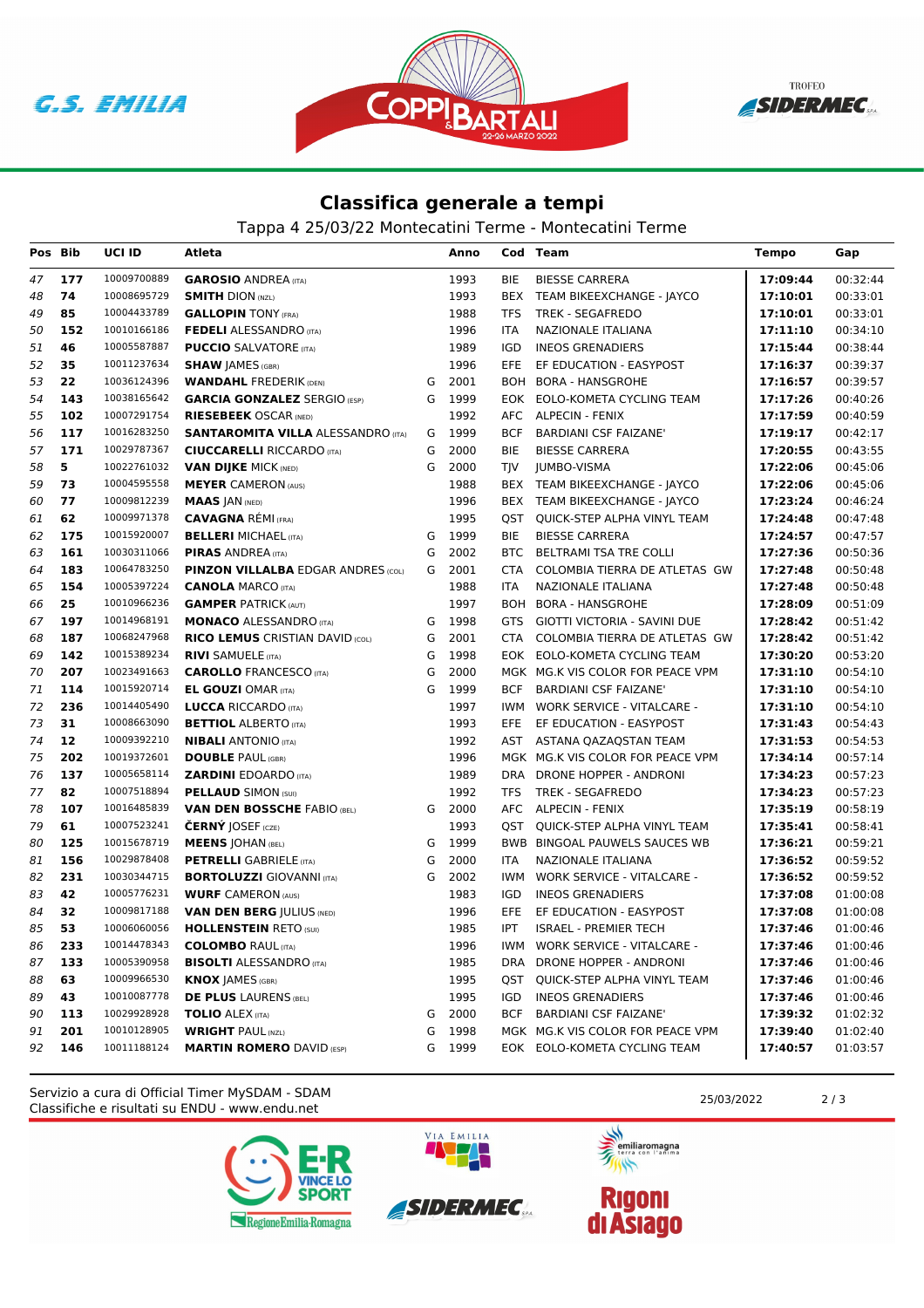





## **Classifica generale a tempi**

Tappa 4 25/03/22 Montecatini Terme - Montecatini Terme

| Pos Bib |     | UCI ID      | Atleta                                    |   | Anno   |            | Cod Team                          | <b>Tempo</b> | Gap      |
|---------|-----|-------------|-------------------------------------------|---|--------|------------|-----------------------------------|--------------|----------|
| 47      | 177 | 10009700889 | <b>GAROSIO ANDREA (ITA)</b>               |   | 1993   | BIE        | <b>BIESSE CARRERA</b>             | 17:09:44     | 00:32:44 |
| 48      | 74  | 10008695729 | <b>SMITH DION (NZL)</b>                   |   | 1993   |            | BEX TEAM BIKEEXCHANGE - JAYCO     | 17:10:01     | 00:33:01 |
| 49      | 85  | 10004433789 | <b>GALLOPIN TONY (FRA)</b>                |   | 1988   | TFS        | TREK - SEGAFREDO                  | 17:10:01     | 00:33:01 |
| 50      | 152 | 10010166186 | <b>FEDELI ALESSANDRO (ITA)</b>            |   | 1996   | ITA        | NAZIONALE ITALIANA                | 17:11:10     | 00:34:10 |
| 51      | 46  | 10005587887 | <b>PUCCIO</b> SALVATORE (ITA)             |   | 1989   | <b>IGD</b> | <b>INEOS GRENADIERS</b>           | 17:15:44     | 00:38:44 |
| 52      | 35  | 10011237634 | <b>SHAW JAMES (GBR)</b>                   |   | 1996   | EFE.       | EF EDUCATION - EASYPOST           | 17:16:37     | 00:39:37 |
| 53      | 22  | 10036124396 | <b>WANDAHL FREDERIK (DEN)</b>             | G | 2001   | BOH        | BORA - HANSGROHE                  | 17:16:57     | 00:39:57 |
| 54      | 143 | 10038165642 | <b>GARCIA GONZALEZ SERGIO (ESP)</b>       | G | 1999   |            | EOK EOLO-KOMETA CYCLING TEAM      | 17:17:26     | 00:40:26 |
| 55      | 102 | 10007291754 | <b>RIESEBEEK OSCAR (NED)</b>              |   | 1992   |            | AFC ALPECIN - FENIX               | 17:17:59     | 00:40:59 |
| 56      | 117 | 10016283250 | <b>SANTAROMITA VILLA ALESSANDRO (ITA)</b> | G | 1999   | <b>BCF</b> | <b>BARDIANI CSF FAIZANE'</b>      | 17:19:17     | 00:42:17 |
| 57      | 171 | 10029787367 | <b>CIUCCARELLI RICCARDO (ITA)</b>         | G | 2000   | BIE        | <b>BIESSE CARRERA</b>             | 17:20:55     | 00:43:55 |
| 58      | 5   | 10022761032 | <b>VAN DIJKE MICK (NED)</b>               | G | 2000   | TIV        | <b>JUMBO-VISMA</b>                | 17:22:06     | 00:45:06 |
| 59      | 73  | 10004595558 | <b>MEYER CAMERON (AUS)</b>                |   | 1988   |            | BEX TEAM BIKEEXCHANGE - JAYCO     | 17:22:06     | 00:45:06 |
| 60      | 77  | 10009812239 | <b>MAAS JAN (NED)</b>                     |   | 1996   |            | BEX TEAM BIKEEXCHANGE - JAYCO     | 17:23:24     | 00:46:24 |
| 61      | 62  | 10009971378 | <b>CAVAGNA RÉMI (FRA)</b>                 |   | 1995   | QST        | QUICK-STEP ALPHA VINYL TEAM       | 17:24:48     | 00:47:48 |
| 62      | 175 | 10015920007 | <b>BELLERI MICHAEL (ITA)</b>              | G | 1999   | BIE        | <b>BIESSE CARRERA</b>             | 17:24:57     | 00:47:57 |
| 63      | 161 | 10030311066 | <b>PIRAS ANDREA</b> (ITA)                 | G | 2002   |            | BTC BELTRAMI TSA TRE COLLI        | 17:27:36     | 00:50:36 |
| 64      | 183 | 10064783250 | <b>PINZON VILLALBA EDGAR ANDRES (COL)</b> | G | 2001   | CTA        | COLOMBIA TIERRA DE ATLETAS GW     | 17:27:48     | 00:50:48 |
| 65      | 154 | 10005397224 | <b>CANOLA MARCO (ITA)</b>                 |   | 1988   | ITA        | NAZIONALE ITALIANA                | 17:27:48     | 00:50:48 |
| 66      | 25  | 10010966236 | <b>GAMPER PATRICK (AUT)</b>               |   | 1997   |            | BOH BORA - HANSGROHE              | 17:28:09     | 00:51:09 |
| 67      | 197 | 10014968191 | <b>MONACO ALESSANDRO (ITA)</b>            | G | 1998   | GTS        | GIOTTI VICTORIA - SAVINI DUE      | 17:28:42     | 00:51:42 |
| 68      | 187 | 10068247968 | <b>RICO LEMUS CRISTIAN DAVID (COL)</b>    | G | 2001   | <b>CTA</b> | COLOMBIA TIERRA DE ATLETAS GW     | 17:28:42     | 00:51:42 |
| 69      | 142 | 10015389234 | <b>RIVI SAMUELE (ITA)</b>                 | G | 1998   |            | EOK EOLO-KOMETA CYCLING TEAM      | 17:30:20     | 00:53:20 |
| 70      | 207 | 10023491663 | <b>CAROLLO</b> FRANCESCO (ITA)            | G | 2000   |            | MGK MG.K VIS COLOR FOR PEACE VPM  | 17:31:10     | 00:54:10 |
| 71      | 114 | 10015920714 | <b>EL GOUZI OMAR (ITA)</b>                | G | 1999   | BCF        | <b>BARDIANI CSF FAIZANE'</b>      | 17:31:10     | 00:54:10 |
| 72      | 236 | 10014405490 | <b>LUCCA RICCARDO (ITA)</b>               |   | 1997   |            | IWM WORK SERVICE - VITALCARE -    | 17:31:10     | 00:54:10 |
| 73      | 31  | 10008663090 | <b>BETTIOL ALBERTO (ITA)</b>              |   | 1993   | EFE.       | EF EDUCATION - EASYPOST           | 17:31:43     | 00:54:43 |
| 74      | 12  | 10009392210 | <b>NIBALI</b> ANTONIO (ITA)               |   | 1992   | AST        | ASTANA QAZAQSTAN TEAM             | 17:31:53     | 00:54:53 |
| 75      | 202 | 10019372601 | <b>DOUBLE PAUL (GBR)</b>                  |   | 1996   |            | MGK MG.K VIS COLOR FOR PEACE VPM  | 17:34:14     | 00:57:14 |
| 76      | 137 | 10005658114 | <b>ZARDINI EDOARDO (ITA)</b>              |   | 1989   |            | DRA DRONE HOPPER - ANDRONI        | 17:34:23     | 00:57:23 |
| 77      | 82  | 10007518894 | <b>PELLAUD SIMON (SUI)</b>                |   | 1992   | <b>TFS</b> | <b>TREK - SEGAFREDO</b>           | 17:34:23     | 00:57:23 |
| 78      | 107 | 10016485839 | <b>VAN DEN BOSSCHE FABIO (BEL)</b>        | G | 2000   |            | AFC ALPECIN - FENIX               | 17:35:19     | 00:58:19 |
| 79      | 61  | 10007523241 | <b>ČERNÝ JOSEF</b> (CZE)                  |   | 1993   | QST        | QUICK-STEP ALPHA VINYL TEAM       | 17:35:41     | 00:58:41 |
| 80      | 125 | 10015678719 | <b>MEENS JOHAN (BEL)</b>                  | G | 1999   |            | BWB BINGOAL PAUWELS SAUCES WB     | 17:36:21     | 00:59:21 |
| 81      | 156 | 10029878408 | <b>PETRELLI</b> GABRIELE (ITA)            | G | 2000   | ITA        | NAZIONALE ITALIANA                | 17:36:52     | 00:59:52 |
| 82      | 231 | 10030344715 | <b>BORTOLUZZI</b> GIOVANNI (ITA)          | G | 2002   | IWM        | <b>WORK SERVICE - VITALCARE -</b> | 17:36:52     | 00:59:52 |
| 83      | 42  | 10005776231 | <b>WURF CAMERON (AUS)</b>                 |   | 1983   | IGD        | <b>INEOS GRENADIERS</b>           | 17:37:08     | 01:00:08 |
| 84      | 32  | 10009817188 | <b>VAN DEN BERG JULIUS (NED)</b>          |   | 1996   | EFE.       | EF EDUCATION - EASYPOST           | 17:37:08     | 01:00:08 |
| 85      | 53  | 10006060056 | <b>HOLLENSTEIN RETO (SUI)</b>             |   | 1985   | IPT        | <b>ISRAEL - PREMIER TECH</b>      | 17:37:46     | 01:00:46 |
| 86      | 233 | 10014478343 | <b>COLOMBO RAUL (ITA)</b>                 |   | 1996   |            | IWM WORK SERVICE - VITALCARE -    | 17:37:46     | 01:00:46 |
| 87      | 133 | 10005390958 | <b>BISOLTI ALESSANDRO (ITA)</b>           |   | 1985   |            | DRA DRONE HOPPER - ANDRONI        | 17:37:46     | 01:00:46 |
| 88      | 63  | 10009966530 | <b>KNOX JAMES (GBR)</b>                   |   | 1995   | QST        | QUICK-STEP ALPHA VINYL TEAM       | 17:37:46     | 01:00:46 |
| 89      | 43  | 10010087778 | <b>DE PLUS LAURENS (BEL)</b>              |   | 1995   | IGD        | <b>INEOS GRENADIERS</b>           | 17:37:46     | 01:00:46 |
| 90      | 113 | 10029928928 | <b>TOLIO ALEX (ITA)</b>                   | G | 2000   | BCF        | <b>BARDIANI CSF FAIZANE'</b>      | 17:39:32     | 01:02:32 |
| 91      | 201 | 10010128905 | <b>WRIGHT PAUL (NZL)</b>                  | G | 1998   |            | MGK MG.K VIS COLOR FOR PEACE VPM  | 17:39:40     | 01:02:40 |
| 92      | 146 | 10011188124 | <b>MARTIN ROMERO DAVID (ESP)</b>          |   | G 1999 |            | EOK EOLO-KOMETA CYCLING TEAM      | 17:40:57     | 01:03:57 |

Classifiche e risultati su ENDU - www.endu.net Servizio a cura di Official Timer MySDAM - SDAM 25/03/2022 2 / 3





VIA EMILIA



**Rigoni<br>di Asiago**